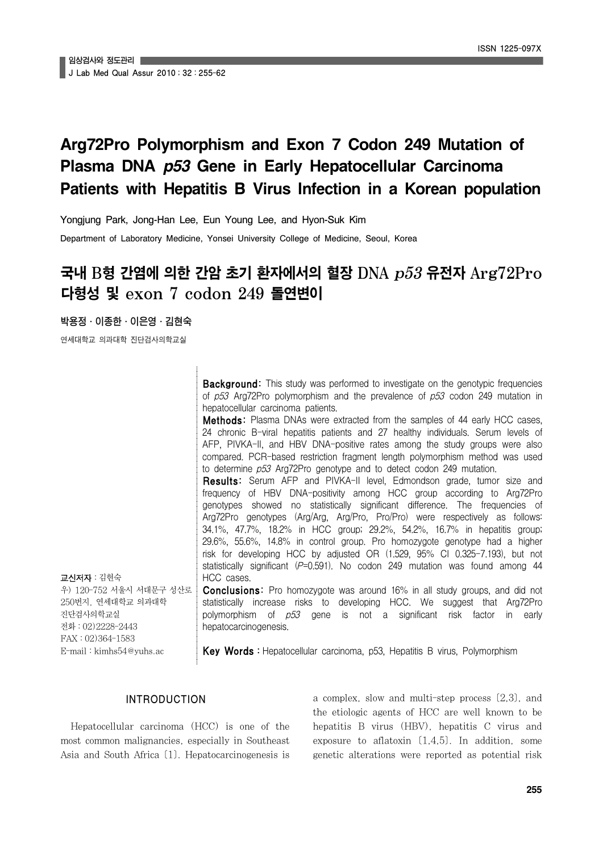# **Arg72Pro Polymorphism and Exon 7 Codon 249 Mutation of Plasma DNA** *p53* **Gene in Early Hepatocellular Carcinoma Patients with Hepatitis B Virus Infection in a Korean population**

Yongjung Park, Jong-Han Lee, Eun Young Lee, and Hyon-Suk Kim Department of Laboratory Medicine, Yonsei University College of Medicine, Seoul, Korea

## 국내 B형 간염에 의한 간암 초기 환자에서의 혈장 DNA p53 유전자 Arg72Pro 다형성 및 exon 7 codon 249 돌연변이

박용정․이종한․이은영․김현숙

연세대학교 의과대학 진단검사의학교실

**Background:** This study was performed to investigate on the genotypic frequencies of p53 Arg72Pro polymorphism and the prevalence of p53 codon 249 mutation in hepatocellular carcinoma patients.

**Methods:** Plasma DNAs were extracted from the samples of 44 early HCC cases. 24 chronic B-viral hepatitis patients and 27 healthy individuals. Serum levels of AFP, PIVKA-II, and HBV DNA-positive rates among the study groups were also compared. PCR-based restriction fragment length polymorphism method was used to determine p53 Arg72Pro genotype and to detect codon 249 mutation.

Results: Serum AFP and PIVKA-II level, Edmondson grade, tumor size and frequency of HBV DNA-positivity among HCC group according to Arg72Pro genotypes showed no statistically significant difference. The frequencies of Arg72Pro genotypes (Arg/Arg, Arg/Pro, Pro/Pro) were respectively as follows: 34.1%, 47.7%, 18.2% in HCC group; 29.2%, 54.2%, 16.7% in hepatitis group; 29.6%, 55.6%, 14.8% in control group. Pro homozygote genotype had a higher risk for developing HCC by adjusted OR (1.529, 95% CI 0.325-7.193), but not statistically significant  $(P=0.591)$ . No codon 249 mutation was found among 44 HCC cases.

교신저자:김현숙 우) 120-752 서울시 서대문구 성산로 250번지, 연세대학교 의과대학 진단검사의학교실 전화:02)2228-2443 FAX:02)364-1583 E-mail:kimhs54@yuhs.ac

statistically increase risks to developing HCC. We suggest that Arg72Pro polymorphism of  $p53$  gene is not a significant risk factor in early hepatocarcinogenesis.

**Conclusions:** Pro homozygote was around 16% in all study groups, and did not

Key Words: Hepatocellular carcinoma, p53, Hepatitis B virus, Polymorphism

## INTRODUCTION

Hepatocellular carcinoma (HCC) is one of the most common malignancies, especially in Southeast Asia and South Africa [1]. Hepatocarcinogenesis is

a complex, slow and multi-step process [2,3], and the etiologic agents of HCC are well known to be hepatitis B virus (HBV), hepatitis C virus and exposure to aflatoxin  $(1,4,5)$ . In addition, some genetic alterations were reported as potential risk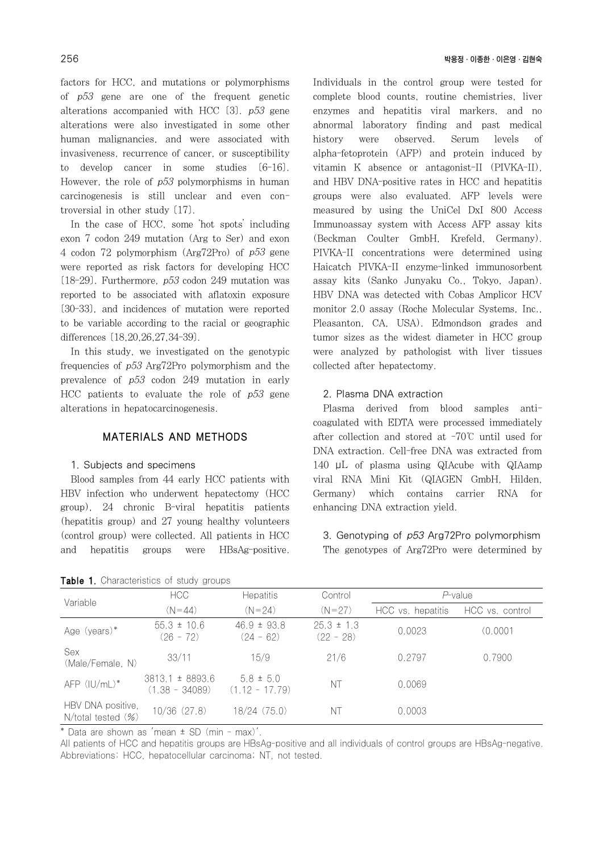factors for HCC, and mutations or polymorphisms of p53 gene are one of the frequent genetic alterations accompanied with HCC [3]. p53 gene alterations were also investigated in some other human malignancies, and were associated with invasiveness, recurrence of cancer, or susceptibility to develop cancer in some studies [6-16]. However, the role of p53 polymorphisms in human carcinogenesis is still unclear and even controversial in other study [17].

In the case of HCC, some 'hot spots' including exon 7 codon 249 mutation (Arg to Ser) and exon 4 codon 72 polymorphism (Arg72Pro) of p53 gene were reported as risk factors for developing HCC  $[18-29]$ . Furthermore,  $p53$  codon 249 mutation was reported to be associated with aflatoxin exposure [30-33], and incidences of mutation were reported to be variable according to the racial or geographic differences [18,20,26,27,34-39].

In this study, we investigated on the genotypic frequencies of p53 Arg72Pro polymorphism and the prevalence of p53 codon 249 mutation in early HCC patients to evaluate the role of  $p53$  gene alterations in hepatocarcinogenesis.

## MATERIALS AND METHODS

#### 1. Subjects and specimens

Blood samples from 44 early HCC patients with HBV infection who underwent hepatectomy (HCC group), 24 chronic B-viral hepatitis patients (hepatitis group) and 27 young healthy volunteers (control group) were collected. All patients in HCC and hepatitis groups were HBsAg-positive.

Individuals in the control group were tested for complete blood counts, routine chemistries, liver enzymes and hepatitis viral markers, and no abnormal laboratory finding and past medical history were observed. Serum levels of alpha-fetoprotein (AFP) and protein induced by vitamin K absence or antagonist-II (PIVKA-II), and HBV DNA-positive rates in HCC and hepatitis groups were also evaluated. AFP levels were measured by using the UniCel DxI 800 Access Immunoassay system with Access AFP assay kits (Beckman Coulter GmbH, Krefeld, Germany). PIVKA-II concentrations were determined using Haicatch PIVKA-II enzyme-linked immunosorbent assay kits (Sanko Junyaku Co., Tokyo, Japan). HBV DNA was detected with Cobas Amplicor HCV monitor 2.0 assay (Roche Molecular Systems, Inc., Pleasanton, CA, USA). Edmondson grades and tumor sizes as the widest diameter in HCC group were analyzed by pathologist with liver tissues collected after hepatectomy.

## 2. Plasma DNA extraction

Plasma derived from blood samples anticoagulated with EDTA were processed immediately after collection and stored at -70℃ until used for DNA extraction. Cell-free DNA was extracted from 140 μL of plasma using QIAcube with QIAamp viral RNA Mini Kit (QIAGEN GmbH, Hilden, Germany) which contains carrier RNA for enhancing DNA extraction yield.

3. Genotyping of p53 Arg72Pro polymorphism The genotypes of Arg72Pro were determined by

| Variable                                | HCC                                     | <b>Hepatitis</b>                  | Control                       | $P$ -value        |                 |
|-----------------------------------------|-----------------------------------------|-----------------------------------|-------------------------------|-------------------|-----------------|
|                                         | $(N = 44)$                              | $(N = 24)$                        | $(N=27)$                      | HCC vs. hepatitis | HCC vs. control |
| Age (years)*                            | $55.3 \pm 10.6$<br>$(26 - 72)$          | $46.9 \pm 93.8$<br>$(24 - 62)$    | $25.3 \pm 1.3$<br>$(22 - 28)$ | 0.0023            | (0.0001)        |
| Sex<br>(Male/Female, N)                 | 33/11                                   | 15/9                              | 21/6                          | 0.2797            | 0.7900          |
| $AFP$ ( $ U/mL$ )*                      | $3813.1 \pm 8893.6$<br>$(1.38 - 34089)$ | $5.8 \pm 5.0$<br>$(1.12 - 17.79)$ | NT                            | 0.0069            |                 |
| HBV DNA positive,<br>N/total tested (%) | 10/36 (27.8)                            | 18/24(75.0)                       | ΝT                            | 0.0003            |                 |

Table 1. Characteristics of study groups

\* Data are shown as 'mean ± SD (min - max)'.

All patients of HCC and hepatitis groups are HBsAg-positive and all individuals of control groups are HBsAg-negative. Abbreviations: HCC, hepatocellular carcinoma; NT, not tested.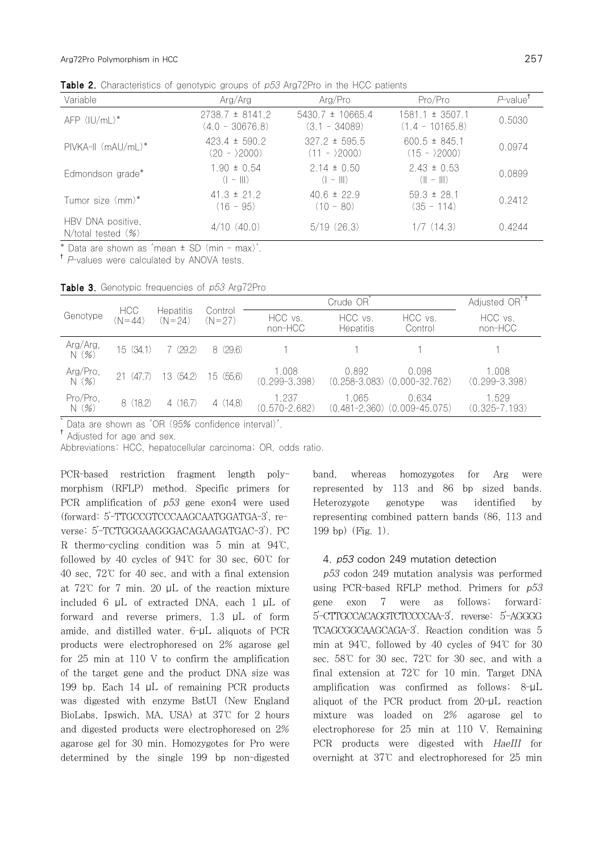**Table 2.** Characteristics of genotypic groups of p53 Arg72Pro in the HCC patients

| Variable                                       | Arg/Arg                                  | Arg/Pro                                         | Pro/Pro                                       | P-value <sup>T</sup> |
|------------------------------------------------|------------------------------------------|-------------------------------------------------|-----------------------------------------------|----------------------|
| $AFP$ ( $ U/mL$ )*                             | $2738.7 \pm 8141.2$<br>$(4.0 - 30676.8)$ | $5430.7 \pm 10665.4$<br>$(3.1 - 34089)$         | $1581.1 \pm 3507.1$<br>$(1.4 - 10165.8)$      | 0.5030               |
| $PIVKA-II$ (m $AU/mL$ )*                       | $423.4 \pm 590.2$<br>$(20 - 2000)$       | $327.2 \pm 595.5$<br>$(11 - \frac{2000}{2000})$ | $600.5 \pm 845.1$<br>$(15 - \frac{2000}{ } )$ | 0.0974               |
| Edmondson grade*                               | $1.90 \pm 0.54$<br>$(  -    )$           | $2.14 \pm 0.50$<br>$(  -    )$                  | $2.43 \pm 0.53$<br>$(   -   )$                | 0.0899               |
| Tumor size (mm)*                               | $41.3 \pm 21.2$<br>$(16 - 95)$           | $406 \pm 229$<br>$(10 - 80)$                    | $59.3 \pm 28.1$<br>$(35 - 114)$               | 0.2412               |
| HBV DNA positive,<br>$N/$ total tested $(\% )$ | 4/10(40.0)                               | 5/19(26.3)                                      | 1/7(14.3)                                     | 0.4244               |

\* Data are shown as 'mean ± SD (min - max)'.

<sup>†</sup> P-values were calculated by ANOVA tests.

Table 3. Genotypic frequencies of p53 Arg72Pro

|                               | <b>HCC</b><br>$(N = 44)$ | <b>Hepatitis</b><br>$(N = 24)$ | Control<br>$(N = 27)$ | Crude OR <sup>'</sup>      |                             |                                               | Adjusted OR <sup>*.†</sup> |
|-------------------------------|--------------------------|--------------------------------|-----------------------|----------------------------|-----------------------------|-----------------------------------------------|----------------------------|
| Genotype                      |                          |                                |                       | HCC vs.<br>non-HCC         | HCC vs.<br><b>Hepatitis</b> | HCC vs.<br>Control                            | HCC vs.<br>non-HCC         |
| Arg/Arg,<br>N(%)              | 15 (34.1)                | 7(29.2)                        | 8(29.6)               |                            |                             |                                               |                            |
| Arg/Pro,<br>$\overline{N}(%)$ | 21(47.7)                 | 13 (54.2)                      | 15 (55.6)             | 1.008<br>$(0.299 - 3.398)$ | 0.892                       | 0.098<br>$(0.258 - 3.083)$ $(0.000 - 32.762)$ | 1.008<br>$(0.299 - 3.398)$ |
| Pro/Pro.<br>N(%)              | 8 (18.2)                 | 4(16.7)                        | 4(14.8)               | 1.237<br>$(0.570 - 2.682)$ | 1.065                       | 0.634<br>$(0.481 - 2.360)$ $(0.009 - 45.075)$ | 1.529<br>$(0.325 - 7.193)$ |

\* Data are shown as 'OR (95% confidence interval)'.

† Adjusted for age and sex.

Abbreviations: HCC, hepatocellular carcinoma; OR, odds ratio.

PCR-based restriction fragment length polymorphism (RFLP) method. Specific primers for PCR amplification of p53 gene exon4 were used (forward: 5'-TTGCCGTCCCAAGCAATGGATGA-3', reverse: 5'-TCTGGGAAGGGACAGAAGATGAC-3'). PC R thermo-cycling condition was 5 min at 94℃, followed by 40 cycles of 94℃ for 30 sec, 60℃ for 40 sec, 72℃ for 40 sec, and with a final extension at 72℃ for 7 min. 20 μL of the reaction mixture included 6 μL of extracted DNA, each 1 μL of forward and reverse primers, 1.3 μL of form amide, and distilled water. 6-μL aliquots of PCR products were electrophoresed on 2% agarose gel for 25 min at 110 V to confirm the amplification of the target gene and the product DNA size was 199 bp. Each 14 μL of remaining PCR products was digested with enzyme BstUI (New England BioLabs, Ipswich, MA, USA) at 37℃ for 2 hours and digested products were electrophoresed on 2% agarose gel for 30 min. Homozygotes for Pro were determined by the single 199 bp non-digested

band, whereas homozygotes for Arg were represented by 113 and 86 bp sized bands. Heterozygote genotype was identified by representing combined pattern bands (86, 113 and 199 bp) (Fig. 1).

#### 4. p53 codon 249 mutation detection

p53 codon 249 mutation analysis was performed using PCR-based RFLP method. Primers for p53 gene exon 7 were as follows; forward: 5'-CTTGCCACAGGTCTCCCCAA-3', reverse: 5'-AGGGG TCAGCGGCAAGCAGA-3'. Reaction condition was 5 min at 94℃, followed by 40 cycles of 94℃ for 30 sec, 58℃ for 30 sec, 72℃ for 30 sec, and with a final extension at 72℃ for 10 min. Target DNA amplification was confirmed as follows; 8-μL aliquot of the PCR product from 20-μL reaction mixture was loaded on 2% agarose gel to electrophorese for 25 min at 110 V. Remaining PCR products were digested with HaeIII for overnight at 37℃ and electrophoresed for 25 min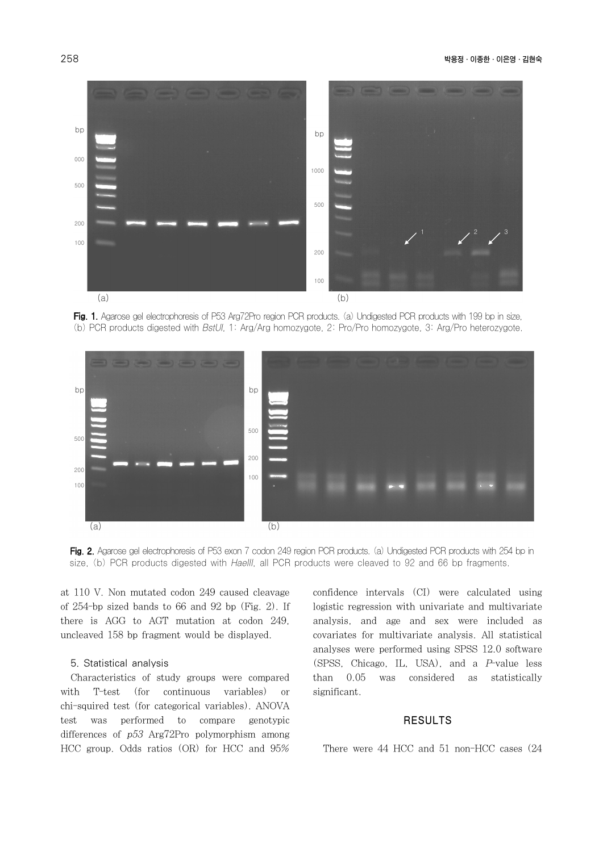

Fig. 1. Agarose gel electrophoresis of P53 Arg72Pro region PCR products. (a) Undigested PCR products with 199 bp in size, (b) PCR products digested with BstUI, 1: Arg/Arg homozygote, 2: Pro/Pro homozygote, 3: Arg/Pro heterozygote.



Fig. 2. Agarose gel electrophoresis of P53 exon 7 codon 249 region PCR products. (a) Undigested PCR products with 254 bp in size, (b) PCR products digested with HaeIII, all PCR products were cleaved to 92 and 66 bp fragments.

at 110 V. Non mutated codon 249 caused cleavage of 254-bp sized bands to 66 and 92 bp (Fig. 2). If there is AGG to AGT mutation at codon 249, uncleaved 158 bp fragment would be displayed.

#### 5. Statistical analysis

Characteristics of study groups were compared with T-test (for continuous variables) or chi-squired test (for categorical variables). ANOVA test was performed to compare genotypic differences of p53 Arg72Pro polymorphism among HCC group. Odds ratios (OR) for HCC and 95%

confidence intervals (CI) were calculated using logistic regression with univariate and multivariate analysis, and age and sex were included as covariates for multivariate analysis. All statistical analyses were performed using SPSS 12.0 software (SPSS, Chicago, IL, USA), and a P-value less than 0.05 was considered as statistically significant.

#### RESULTS

There were 44 HCC and 51 non-HCC cases (24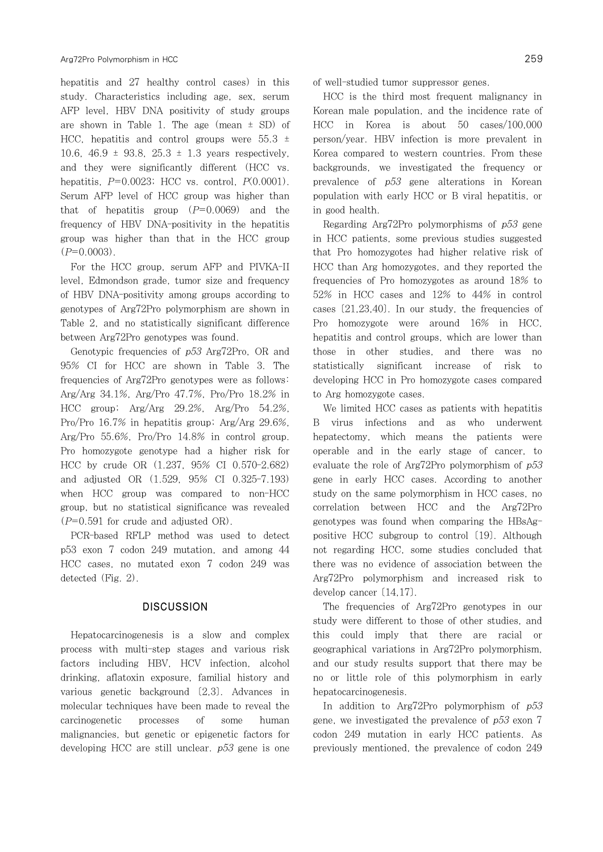hepatitis and 27 healthy control cases) in this study. Characteristics including age, sex, serum AFP level, HBV DNA positivity of study groups are shown in Table 1. The age (mean  $\pm$  SD) of HCC, hepatitis and control groups were  $55.3 \pm 1$ 10.6,  $46.9 \pm 93.8$ ,  $25.3 \pm 1.3$  years respectively. and they were significantly different (HCC vs. hepatitis,  $P=0.0023$ ; HCC vs. control,  $P(0.0001)$ . Serum AFP level of HCC group was higher than that of hepatitis group  $(P=0.0069)$  and the frequency of HBV DNA-positivity in the hepatitis group was higher than that in the HCC group  $(P=0.0003)$ .

For the HCC group, serum AFP and PIVKA-II level, Edmondson grade, tumor size and frequency of HBV DNA-positivity among groups according to genotypes of Arg72Pro polymorphism are shown in Table 2, and no statistically significant difference between Arg72Pro genotypes was found.

Genotypic frequencies of p53 Arg72Pro, OR and 95% CI for HCC are shown in Table 3. The frequencies of Arg72Pro genotypes were as follows: Arg/Arg 34.1%, Arg/Pro 47.7%, Pro/Pro 18.2% in HCC group; Arg/Arg 29.2%, Arg/Pro 54.2%, Pro/Pro 16.7% in hepatitis group; Arg/Arg 29.6%, Arg/Pro 55.6%, Pro/Pro 14.8% in control group. Pro homozygote genotype had a higher risk for HCC by crude OR (1.237, 95% CI 0.570-2.682) and adjusted OR (1.529, 95% CI 0.325-7.193) when HCC group was compared to non-HCC group, but no statistical significance was revealed  $(P=0.591$  for crude and adjusted OR).

PCR-based RFLP method was used to detect p53 exon 7 codon 249 mutation, and among 44 HCC cases, no mutated exon 7 codon 249 was detected (Fig. 2).

#### **DISCUSSION**

Hepatocarcinogenesis is a slow and complex process with multi-step stages and various risk factors including HBV, HCV infection, alcohol drinking, aflatoxin exposure, familial history and various genetic background [2,3]. Advances in molecular techniques have been made to reveal the carcinogenetic processes of some human malignancies, but genetic or epigenetic factors for developing HCC are still unclear. p53 gene is one of well-studied tumor suppressor genes.

HCC is the third most frequent malignancy in Korean male population, and the incidence rate of HCC in Korea is about 50 cases/100,000 person/year. HBV infection is more prevalent in Korea compared to western countries. From these backgrounds, we investigated the frequency or prevalence of p53 gene alterations in Korean population with early HCC or B viral hepatitis, or in good health.

Regarding Arg72Pro polymorphisms of p53 gene in HCC patients, some previous studies suggested that Pro homozygotes had higher relative risk of HCC than Arg homozygotes, and they reported the frequencies of Pro homozygotes as around 18% to 52% in HCC cases and 12% to 44% in control cases  $(21,23,40)$ . In our study, the frequencies of Pro homozygote were around 16% in HCC, hepatitis and control groups, which are lower than those in other studies, and there was no statistically significant increase of risk to developing HCC in Pro homozygote cases compared to Arg homozygote cases.

We limited HCC cases as patients with hepatitis B virus infections and as who underwent hepatectomy, which means the patients were operable and in the early stage of cancer, to evaluate the role of Arg72Pro polymorphism of p53 gene in early HCC cases. According to another study on the same polymorphism in HCC cases, no correlation between HCC and the Arg72Pro genotypes was found when comparing the HBsAgpositive HCC subgroup to control [19]. Although not regarding HCC, some studies concluded that there was no evidence of association between the Arg72Pro polymorphism and increased risk to develop cancer [14,17].

The frequencies of Arg72Pro genotypes in our study were different to those of other studies, and this could imply that there are racial or geographical variations in Arg72Pro polymorphism, and our study results support that there may be no or little role of this polymorphism in early hepatocarcinogenesis.

In addition to Arg72Pro polymorphism of  $p53$ gene, we investigated the prevalence of  $p53$  exon 7 codon 249 mutation in early HCC patients. As previously mentioned, the prevalence of codon 249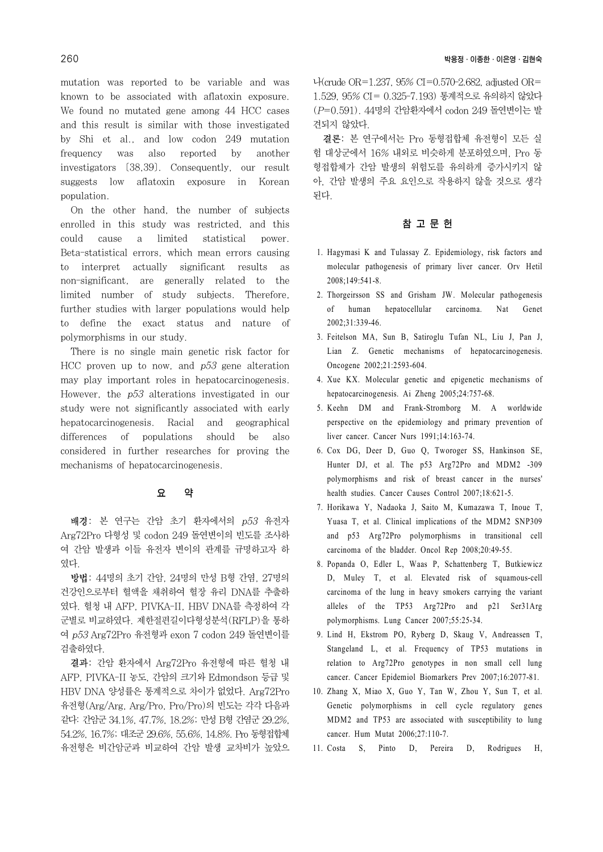mutation was reported to be variable and was known to be associated with aflatoxin exposure. We found no mutated gene among 44 HCC cases and this result is similar with those investigated by Shi et al., and low codon 249 mutation frequency was also reported by another investigators [38,39]. Consequently, our result suggests low aflatoxin exposure in Korean population.

On the other hand, the number of subjects enrolled in this study was restricted, and this could cause a limited statistical power. Beta-statistical errors, which mean errors causing to interpret actually significant results as non-significant, are generally related to the limited number of study subjects. Therefore, further studies with larger populations would help to define the exact status and nature of polymorphisms in our study.

There is no single main genetic risk factor for HCC proven up to now, and  $p53$  gene alteration may play important roles in hepatocarcinogenesis. However, the p53 alterations investigated in our study were not significantly associated with early hepatocarcinogenesis. Racial and geographical differences of populations should be also considered in further researches for proving the mechanisms of hepatocarcinogenesis.

## 요 약

배경: 본 연구는 간암 초기 환자에서의 p53 유전자 Arg72Pro 다형성 및 codon 249 돌연변이의 빈도를 조사하 여 간암 발생과 이들 유전자 변이의 관계를 규명하고자 하 였다.

방법: 44명의 초기 간암, 24명의 만성 B형 간염, 27명의 건강인으로부터 혈액을 채취하여 혈장 유리 DNA를 추출하 였다. 혈청 내 AFP, PIVKA-II, HBV DNA를 측정하여 각 군별로 비교하였다. 제한절편길이다형성분석(RFLP)을 통하 여 p53 Arg72Pro 유전형과 exon 7 codon 249 돌연변이를 검출하였다.

결과: 간암 환자에서 Arg72Pro 유전형에 따른 혈청 내 AFP, PIVKA-II 농도, 간암의 크기와 Edmondson 등급 및 HBV DNA 양성률은 통계적으로 차이가 없었다. Arg72Pro 유전형(Arg/Arg, Arg/Pro, Pro/Pro)의 빈도는 각각 다음과 같다: 간암군 34.1%, 47.7%, 18.2%; 만성 B형 간염군 29.2%, 54.2%, 16.7%; 대조군 29.6%, 55.6%, 14.8%. Pro 동형접합체 유전형은 비간암군과 비교하여 간암 발생 교차비가 높았으 나(crude OR=1.237, 95% CI=0.570-2.682, adjusted OR= 1.529, 95% CI= 0.325-7.193) 통계적으로 유의하지 않았다 (P=0.591). 44명의 간암환자에서 codon 249 돌연변이는 발 견되지 않았다.

결론: 본 연구에서는 Pro 동형접합체 유전형이 모든 실 험 대상군에서 16% 내외로 비슷하게 분포하였으며, Pro 동 형접합체가 간암 발생의 위험도를 유의하게 증가시키지 않 아, 간암 발생의 주요 요인으로 작용하지 않을 것으로 생각 된다.

## 참 고 문 헌

- 1. Hagymasi K and Tulassay Z. Epidemiology, risk factors and molecular pathogenesis of primary liver cancer. Orv Hetil 2008;149:541-8.
- 2. Thorgeirsson SS and Grisham JW. Molecular pathogenesis of human hepatocellular carcinoma. Nat Genet 2002;31:339-46.
- 3. Feitelson MA, Sun B, Satiroglu Tufan NL, Liu J, Pan J, Lian Z. Genetic mechanisms of hepatocarcinogenesis. Oncogene 2002;21:2593-604.
- 4. Xue KX. Molecular genetic and epigenetic mechanisms of hepatocarcinogenesis. Ai Zheng 2005;24:757-68.
- 5. Keehn DM and Frank-Stromborg M. A worldwide perspective on the epidemiology and primary prevention of liver cancer. Cancer Nurs 1991;14:163-74.
- 6. Cox DG, Deer D, Guo Q, Tworoger SS, Hankinson SE, Hunter DJ, et al. The p53 Arg72Pro and MDM2 -309 polymorphisms and risk of breast cancer in the nurses' health studies. Cancer Causes Control 2007;18:621-5.
- 7. Horikawa Y, Nadaoka J, Saito M, Kumazawa T, Inoue T, Yuasa T, et al. Clinical implications of the MDM2 SNP309 and p53 Arg72Pro polymorphisms in transitional cell carcinoma of the bladder. Oncol Rep 2008;20:49-55.
- 8. Popanda O, Edler L, Waas P, Schattenberg T, Butkiewicz D, Muley T, et al. Elevated risk of squamous-cell carcinoma of the lung in heavy smokers carrying the variant alleles of the TP53 Arg72Pro and p21 Ser31Arg polymorphisms. Lung Cancer 2007;55:25-34.
- 9. Lind H, Ekstrom PO, Ryberg D, Skaug V, Andreassen T, Stangeland L, et al. Frequency of TP53 mutations in relation to Arg72Pro genotypes in non small cell lung cancer. Cancer Epidemiol Biomarkers Prev 2007;16:2077-81.
- 10. Zhang X, Miao X, Guo Y, Tan W, Zhou Y, Sun T, et al. Genetic polymorphisms in cell cycle regulatory genes MDM2 and TP53 are associated with susceptibility to lung cancer. Hum Mutat 2006;27:110-7.
- 11. Costa S, Pinto D, Pereira D, Rodrigues H,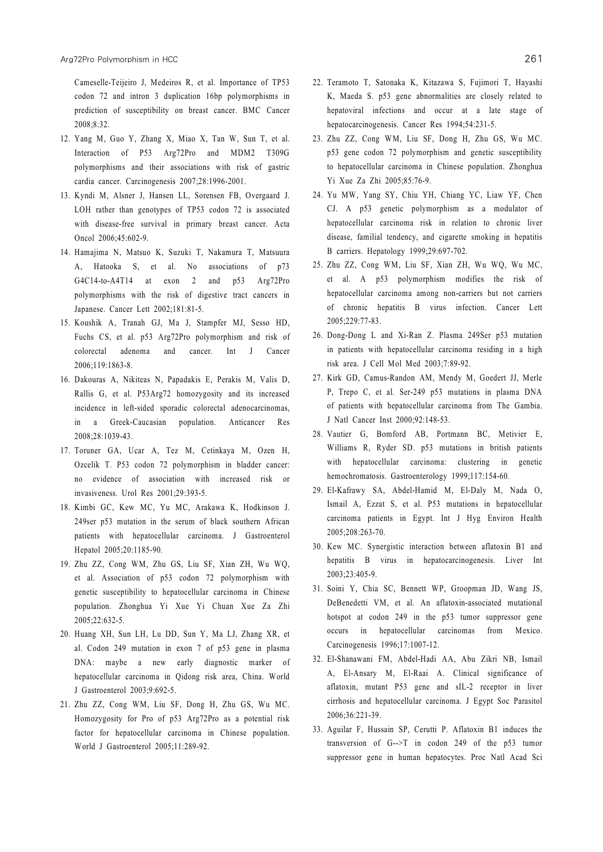Cameselle-Teijeiro J, Medeiros R, et al. Importance of TP53 codon 72 and intron 3 duplication 16bp polymorphisms in prediction of susceptibility on breast cancer. BMC Cancer 2008;8:32.

- 12. Yang M, Guo Y, Zhang X, Miao X, Tan W, Sun T, et al. Interaction of P53 Arg72Pro and MDM2 T309G polymorphisms and their associations with risk of gastric cardia cancer. Carcinogenesis 2007;28:1996-2001.
- 13. Kyndi M, Alsner J, Hansen LL, Sorensen FB, Overgaard J. LOH rather than genotypes of TP53 codon 72 is associated with disease-free survival in primary breast cancer. Acta Oncol 2006;45:602-9.
- 14. Hamajima N, Matsuo K, Suzuki T, Nakamura T, Matsuura A, Hatooka S, et al. No associations of p73 G4C14-to-A4T14 at exon 2 and p53 Arg72Pro polymorphisms with the risk of digestive tract cancers in Japanese. Cancer Lett 2002;181:81-5.
- 15. Koushik A, Tranah GJ, Ma J, Stampfer MJ, Sesso HD, Fuchs CS, et al. p53 Arg72Pro polymorphism and risk of colorectal adenoma and cancer. Int J Cancer 2006;119:1863-8.
- 16. Dakouras A, Nikiteas N, Papadakis E, Perakis M, Valis D, Rallis G, et al. P53Arg72 homozygosity and its increased incidence in left-sided sporadic colorectal adenocarcinomas, in a Greek-Caucasian population. Anticancer Res 2008;28:1039-43.
- 17. Toruner GA, Ucar A, Tez M, Cetinkaya M, Ozen H, Ozcelik T. P53 codon 72 polymorphism in bladder cancer: no evidence of association with increased risk or invasiveness. Urol Res 2001;29:393-5.
- 18. Kimbi GC, Kew MC, Yu MC, Arakawa K, Hodkinson J. 249ser p53 mutation in the serum of black southern African patients with hepatocellular carcinoma. J Gastroenterol Hepatol 2005;20:1185-90.
- 19. Zhu ZZ, Cong WM, Zhu GS, Liu SF, Xian ZH, Wu WQ, et al. Association of p53 codon 72 polymorphism with genetic susceptibility to hepatocellular carcinoma in Chinese population. Zhonghua Yi Xue Yi Chuan Xue Za Zhi 2005;22:632-5.
- 20. Huang XH, Sun LH, Lu DD, Sun Y, Ma LJ, Zhang XR, et al. Codon 249 mutation in exon 7 of p53 gene in plasma DNA: maybe a new early diagnostic marker of hepatocellular carcinoma in Qidong risk area, China. World J Gastroenterol 2003;9:692-5.
- 21. Zhu ZZ, Cong WM, Liu SF, Dong H, Zhu GS, Wu MC. Homozygosity for Pro of p53 Arg72Pro as a potential risk factor for hepatocellular carcinoma in Chinese population. World J Gastroenterol 2005;11:289-92.
- 22. Teramoto T, Satonaka K, Kitazawa S, Fujimori T, Hayashi K, Maeda S. p53 gene abnormalities are closely related to hepatoviral infections and occur at a late stage of hepatocarcinogenesis. Cancer Res 1994;54:231-5.
- 23. Zhu ZZ, Cong WM, Liu SF, Dong H, Zhu GS, Wu MC. p53 gene codon 72 polymorphism and genetic susceptibility to hepatocellular carcinoma in Chinese population. Zhonghua Yi Xue Za Zhi 2005;85:76-9.
- 24. Yu MW, Yang SY, Chiu YH, Chiang YC, Liaw YF, Chen CJ. A p53 genetic polymorphism as a modulator of hepatocellular carcinoma risk in relation to chronic liver disease, familial tendency, and cigarette smoking in hepatitis B carriers. Hepatology 1999;29:697-702.
- 25. Zhu ZZ, Cong WM, Liu SF, Xian ZH, Wu WQ, Wu MC, et al. A p53 polymorphism modifies the risk of hepatocellular carcinoma among non-carriers but not carriers of chronic hepatitis B virus infection. Cancer Lett 2005;229:77-83.
- 26. Dong-Dong L and Xi-Ran Z. Plasma 249Ser p53 mutation in patients with hepatocellular carcinoma residing in a high risk area. J Cell Mol Med 2003;7:89-92.
- 27. Kirk GD, Camus-Randon AM, Mendy M, Goedert JJ, Merle P, Trepo C, et al. Ser-249 p53 mutations in plasma DNA of patients with hepatocellular carcinoma from The Gambia. J Natl Cancer Inst 2000;92:148-53.
- 28. Vautier G, Bomford AB, Portmann BC, Metivier E, Williams R, Ryder SD. p53 mutations in british patients with hepatocellular carcinoma: clustering in genetic hemochromatosis. Gastroenterology 1999;117:154-60.
- 29. El-Kafrawy SA, Abdel-Hamid M, El-Daly M, Nada O, Ismail A, Ezzat S, et al. P53 mutations in hepatocellular carcinoma patients in Egypt. Int J Hyg Environ Health 2005;208:263-70.
- 30. Kew MC. Synergistic interaction between aflatoxin B1 and hepatitis B virus in hepatocarcinogenesis. Liver Int 2003;23:405-9.
- 31. Soini Y, Chia SC, Bennett WP, Groopman JD, Wang JS, DeBenedetti VM, et al. An aflatoxin-associated mutational hotspot at codon 249 in the p53 tumor suppressor gene occurs in hepatocellular carcinomas from Mexico. Carcinogenesis 1996;17:1007-12.
- 32. El-Shanawani FM, Abdel-Hadi AA, Abu Zikri NB, Ismail A, El-Ansary M, El-Raai A. Clinical significance of aflatoxin, mutant P53 gene and sIL-2 receptor in liver cirrhosis and hepatocellular carcinoma. J Egypt Soc Parasitol 2006;36:221-39.
- 33. Aguilar F, Hussain SP, Cerutti P. Aflatoxin B1 induces the transversion of G-->T in codon 249 of the p53 tumor suppressor gene in human hepatocytes. Proc Natl Acad Sci